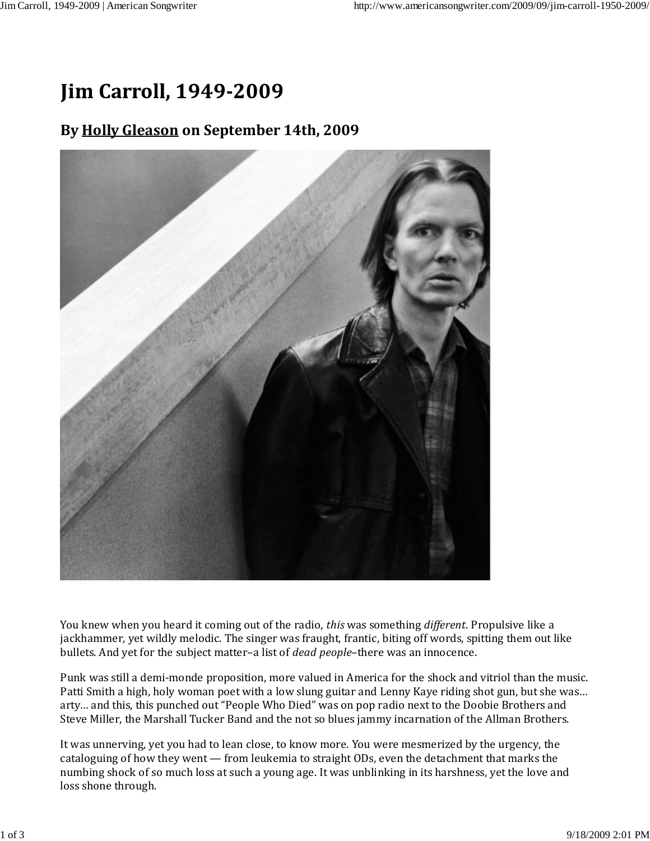## **Jim Carroll, 1949-2009**

## **By Holly Gleason on September 14th, 2009**



You knew when you heard it coming out of the radio, *this* was something *different*. Propulsive like a jackhammer, yet wildly melodic. The singer was fraught, frantic, biting off words, spitting them out like bullets. And yet for the subject matter–a list of *dead people*–there was an innocence.

Punk was still a demi‐monde proposition, more valued in America for the shock and vitriol than the music. Patti Smith a high, holy woman poet with a low slung guitar and Lenny Kaye riding shot gun, but she was… arty… and this, this punched out "People Who Died" was on pop radio next to the Doobie Brothers and Steve Miller, the Marshall Tucker Band and the not so blues jammy incarnation of the Allman Brothers.

It was unnerving, yet you had to lean close, to know more. You were mesmerized by the urgency, the cataloguing of how they went — from leukemia to straight ODs, even the detachment that marks the numbing shock of so much loss at such a young age. It was unblinking in its harshness, yet the love and loss shone through.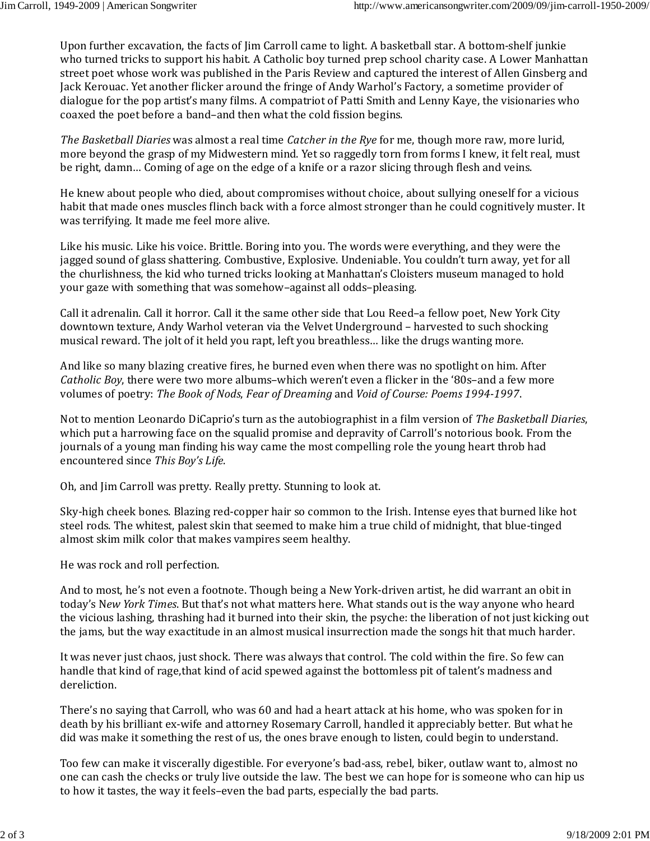Upon further excavation, the facts of Jim Carroll came to light. A basketball star. A bottom‐shelf junkie who turned tricks to support his habit. A Catholic boy turned prep school charity case. A Lower Manhattan street poet whose work was published in the Paris Review and captured the interest of Allen Ginsberg and Jack Kerouac. Yet another flicker around the fringe of Andy Warhol's Factory, a sometime provider of dialogue for the pop artist's many films. A compatriot of Patti Smith and Lenny Kaye, the visionaries who coaxed the poet before a band–and then what the cold fission begins.

*The Basketball Diaries* was almost a real time *Catcher in the Rye* for me, though more raw, more lurid, more beyond the grasp of my Midwestern mind. Yet so raggedly torn from forms I knew, it felt real, must be right, damn… Coming of age on the edge of a knife or a razor slicing through flesh and veins.

He knew about people who died, about compromises without choice, about sullying oneself for a vicious habit that made ones muscles flinch back with a force almost stronger than he could cognitively muster. It was terrifying. It made me feel more alive.

Like his music. Like his voice. Brittle. Boring into you. The words were everything, and they were the jagged sound of glass shattering. Combustive, Explosive. Undeniable. You couldn't turn away, yet for all the churlishness, the kid who turned tricks looking at Manhattan's Cloisters museum managed to hold your gaze with something that was somehow–against all odds–pleasing.

Call it adrenalin. Call it horror. Call it the same other side that Lou Reed–a fellow poet, New York City downtown texture, Andy Warhol veteran via the Velvet Underground – harvested to such shocking musical reward. The jolt of it held you rapt, left you breathless… like the drugs wanting more.

And like so many blazing creative fires, he burned even when there was no spotlight on him. After *Catholic Boy*, there were two more albums–which weren't even a flicker in the '80s–and a few more volumes of poetry: *The Book of Nods*, *Fear of Dreaming* and *Void of Course: Poems 1994-1997*.

Not to mention Leonardo DiCaprio's turn as the autobiographist in a film version of *The Basketball Diaries*, which put a harrowing face on the squalid promise and depravity of Carroll's notorious book. From the journals of a young man finding his way came the most compelling role the young heart throb had encountered since *This Boy's Life*.

Oh, and Jim Carroll was pretty. Really pretty. Stunning to look at.

Sky‐high cheek bones. Blazing red‐copper hair so common to the Irish. Intense eyes that burned like hot steel rods. The whitest, palest skin that seemed to make him a true child of midnight, that blue-tinged almost skim milk color that makes vampires seem healthy.

He was rock and roll perfection.

And to most, he's not even a footnote. Though being a New York‐driven artist, he did warrant an obit in today's N*ew York Times*. But that's not what matters here. What stands out is the way anyone who heard the vicious lashing, thrashing had it burned into their skin, the psyche: the liberation of not just kicking out the jams, but the way exactitude in an almost musical insurrection made the songs hit that much harder.

It was never just chaos, just shock. There was always that control. The cold within the fire. So few can handle that kind of rage,that kind of acid spewed against the bottomless pit of talent's madness and dereliction.

There's no saying that Carroll, who was 60 and had a heart attack at his home, who was spoken for in death by his brilliant ex-wife and attorney Rosemary Carroll, handled it appreciably better. But what he did was make it something the rest of us, the ones brave enough to listen, could begin to understand.

Too few can make it viscerally digestible. For everyone's bad‐ass, rebel, biker, outlaw want to, almost no one can cash the checks or truly live outside the law. The best we can hope for is someone who can hip us to how it tastes, the way it feels–even the bad parts, especially the bad parts.